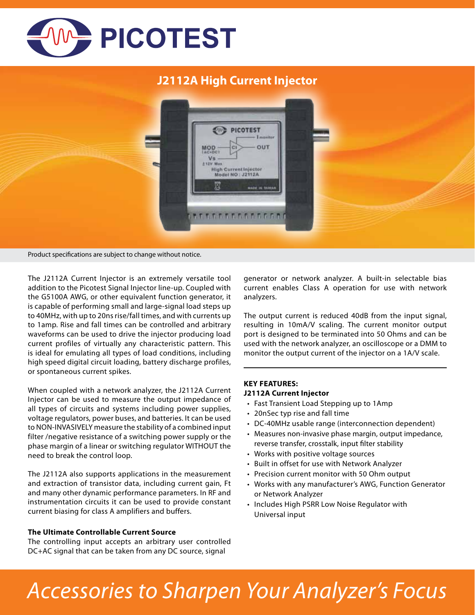

## **J2112A High Current Injector**

| PICOTEST<br>$-40$<br>$-1$ <i>manitor</i>                                                                           |  |
|--------------------------------------------------------------------------------------------------------------------|--|
| OUT<br>$MOD -$<br> c <br>V <sub>5</sub><br>213V Max<br><b>Section</b><br>High Current Injector<br>Model NO: J2112A |  |
| 図<br>MADE IN TAIRER                                                                                                |  |

Product specifications are subject to change without notice.

The J2112A Current Injector is an extremely versatile tool addition to the Picotest Signal Injector line-up. Coupled with the G5100A AWG, or other equivalent function generator, it is capable of performing small and large-signal load steps up to 40MHz, with up to 20ns rise/fall times, and with currents up to 1amp. Rise and fall times can be controlled and arbitrary waveforms can be used to drive the injector producing load current profiles of virtually any characteristic pattern. This is ideal for emulating all types of load conditions, including high speed digital circuit loading, battery discharge profiles, or spontaneous current spikes.

When coupled with a network analyzer, the J2112A Current Injector can be used to measure the output impedance of all types of circuits and systems including power supplies, voltage regulators, power buses, and batteries. It can be used to NON-INVASIVELY measure the stability of a combined input filter /negative resistance of a switching power supply or the phase margin of a linear or switching regulator WITHOUT the need to break the control loop.

The J2112A also supports applications in the measurement and extraction of transistor data, including current gain, Ft and many other dynamic performance parameters. In RF and instrumentation circuits it can be used to provide constant current biasing for class A amplifiers and buffers.

#### **The Ultimate Controllable Current Source**

The controlling input accepts an arbitrary user controlled DC+AC signal that can be taken from any DC source, signal

generator or network analyzer. A built-in selectable bias current enables Class A operation for use with network analyzers.

The output current is reduced 40dB from the input signal, resulting in 10mA/V scaling. The current monitor output port is designed to be terminated into 50 Ohms and can be used with the network analyzer, an oscilloscope or a DMM to monitor the output current of the injector on a 1A/V scale.

### **KEY FEATURES: J2112A Current Injector**

- Fast Transient Load Stepping up to 1Amp
- 20nSec typ rise and fall time
- DC-40MHz usable range (interconnection dependent)
- Measures non-invasive phase margin, output impedance, reverse transfer, crosstalk, input filter stability
- Works with positive voltage sources
- Built in offset for use with Network Analyzer
- Precision current monitor with 50 Ohm output
- Works with any manufacturer's AWG, Function Generator or Network Analyzer
- Includes High PSRR Low Noise Regulator with Universal input

# *Accessories to Sharpen Your Analyzer's Focus*